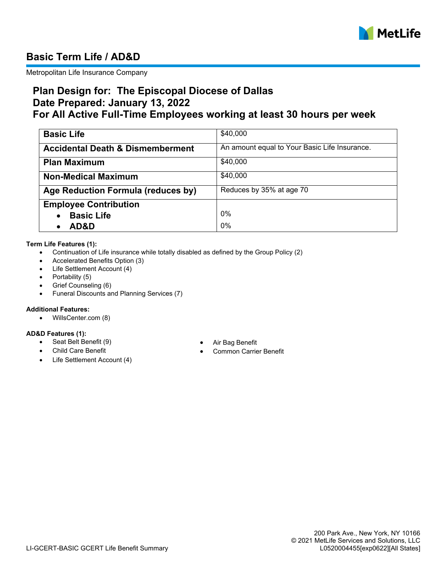

# **Basic Term Life / AD&D**

Metropolitan Life Insurance Company

## **Plan Design for: The Episcopal Diocese of Dallas Date Prepared: January 13, 2022 For All Active Full-Time Employees working at least 30 hours per week**

| <b>Basic Life</b>                           | \$40,000                                      |
|---------------------------------------------|-----------------------------------------------|
| <b>Accidental Death &amp; Dismemberment</b> | An amount equal to Your Basic Life Insurance. |
| <b>Plan Maximum</b>                         | \$40,000                                      |
| <b>Non-Medical Maximum</b>                  | \$40,000                                      |
| Age Reduction Formula (reduces by)          | Reduces by 35% at age 70                      |
| <b>Employee Contribution</b>                |                                               |
| <b>Basic Life</b>                           | 0%                                            |
| AD&D                                        | 0%                                            |

#### **Term Life Features (1):**

- · Continuation of Life insurance while totally disabled as defined by the Group Policy (2)
- Accelerated Benefits Option (3)
- · Life Settlement Account (4)
- Portability (5)
- Grief Counseling (6)
- · Funeral Discounts and Planning Services (7)

### **Additional Features:**

· WillsCenter.com (8)

#### **AD&D Features (1):**

- · Seat Belt Benefit (9) · Air Bag Benefit
- 
- Life Settlement Account (4)
- 
- Common Carrier Benefit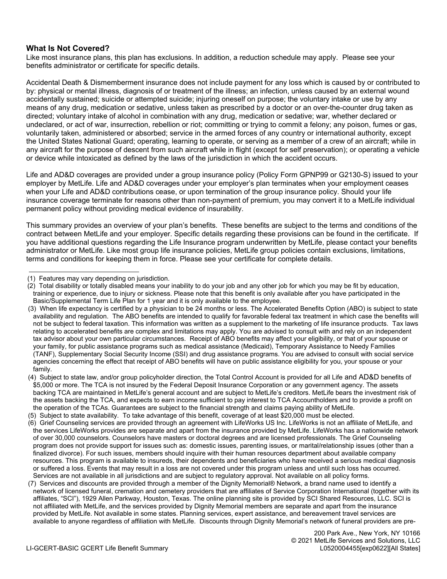### **What Is Not Covered?**

Like most insurance plans, this plan has exclusions. In addition, a reduction schedule may apply. Please see your benefits administrator or certificate for specific details.

Accidental Death & Dismemberment insurance does not include payment for any loss which is caused by or contributed to by: physical or mental illness, diagnosis of or treatment of the illness; an infection, unless caused by an external wound accidentally sustained; suicide or attempted suicide; injuring oneself on purpose; the voluntary intake or use by any means of any drug, medication or sedative, unless taken as prescribed by a doctor or an over-the-counter drug taken as directed; voluntary intake of alcohol in combination with any drug, medication or sedative; war, whether declared or undeclared, or act of war, insurrection, rebellion or riot; committing or trying to commit a felony; any poison, fumes or gas, voluntarily taken, administered or absorbed; service in the armed forces of any country or international authority, except the United States National Guard; operating, learning to operate, or serving as a member of a crew of an aircraft; while in any aircraft for the purpose of descent from such aircraft while in flight (except for self preservation); or operating a vehicle or device while intoxicated as defined by the laws of the jurisdiction in which the accident occurs.

Life and AD&D coverages are provided under a group insurance policy (Policy Form GPNP99 or G2130-S) issued to your employer by MetLife. Life and AD&D coverages under your employer's plan terminates when your employment ceases when your Life and AD&D contributions cease, or upon termination of the group insurance policy. Should your life insurance coverage terminate for reasons other than non-payment of premium, you may convert it to a MetLife individual permanent policy without providing medical evidence of insurability.

This summary provides an overview of your plan's benefits. These benefits are subject to the terms and conditions of the contract between MetLife and your employer. Specific details regarding these provisions can be found in the certificate. If you have additional questions regarding the Life Insurance program underwritten by MetLife, please contact your benefits administrator or MetLife. Like most group life insurance policies, MetLife group policies contain exclusions, limitations, terms and conditions for keeping them in force. Please see your certificate for complete details.

<sup>(1)</sup> Features may vary depending on jurisdiction.

<sup>(2)</sup> Total disability or totally disabled means your inability to do your job and any other job for which you may be fit by education, training or experience, due to injury or sickness. Please note that this benefit is only available after you have participated in the Basic/Supplemental Term Life Plan for 1 year and it is only available to the employee.

<sup>(3)</sup> When life expectancy is certified by a physician to be 24 months or less. The Accelerated Benefits Option (ABO) is subject to state availability and regulation. The ABO benefits are intended to qualify for favorable federal tax treatment in which case the benefits will not be subject to federal taxation. This information was written as a supplement to the marketing of life insurance products. Tax laws relating to accelerated benefits are complex and limitations may apply. You are advised to consult with and rely on an independent tax advisor about your own particular circumstances. Receipt of ABO benefits may affect your eligibility, or that of your spouse or your family, for public assistance programs such as medical assistance (Medicaid), Temporary Assistance to Needy Families (TANF), Supplementary Social Security Income (SSI) and drug assistance programs. You are advised to consult with social service agencies concerning the effect that receipt of ABO benefits will have on public assistance eligibility for you, your spouse or your family.

<sup>(4)</sup> Subject to state law, and/or group policyholder direction, the Total Control Account is provided for all Life and AD&D benefits of \$5,000 or more. The TCA is not insured by the Federal Deposit Insurance Corporation or any government agency. The assets backing TCA are maintained in MetLife's general account and are subject to MetLife's creditors. MetLife bears the investment risk of the assets backing the TCA, and expects to earn income sufficient to pay interest to TCA Accountholders and to provide a profit on the operation of the TCAs. Guarantees are subject to the financial strength and claims paying ability of MetLife.

<sup>(5)</sup> Subject to state availability. To take advantage of this benefit, coverage of at least \$20,000 must be elected.

<sup>(6)</sup> Grief Counseling services are provided through an agreement with LifeWorks US Inc. LifeWorks is not an affiliate of MetLife, and the services LifeWorks provides are separate and apart from the insurance provided by MetLife. LifeWorks has a nationwide network of over 30,000 counselors. Counselors have masters or doctoral degrees and are licensed professionals. The Grief Counseling program does not provide support for issues such as: domestic issues, parenting issues, or marital/relationship issues (other than a finalized divorce). For such issues, members should inquire with their human resources department about available company resources. This program is available to insureds, their dependents and beneficiaries who have received a serious medical diagnosis or suffered a loss. Events that may result in a loss are not covered under this program unless and until such loss has occurred. Services are not available in all jurisdictions and are subject to regulatory approval. Not available on all policy forms.

<sup>(7)</sup> Services and discounts are provided through a member of the Dignity Memorial® Network, a brand name used to identify a network of licensed funeral, cremation and cemetery providers that are affiliates of Service Corporation International (together with its affiliates, "SCI"), 1929 Allen Parkway, Houston, Texas. The online planning site is provided by SCI Shared Resources, LLC. SCI is not affiliated with MetLife, and the services provided by Dignity Memorial members are separate and apart from the insurance provided by MetLife. Not available in some states. Planning services, expert assistance, and bereavement travel services are available to anyone regardless of affiliation with MetLife. Discounts through Dignity Memorial's network of funeral providers are pre-